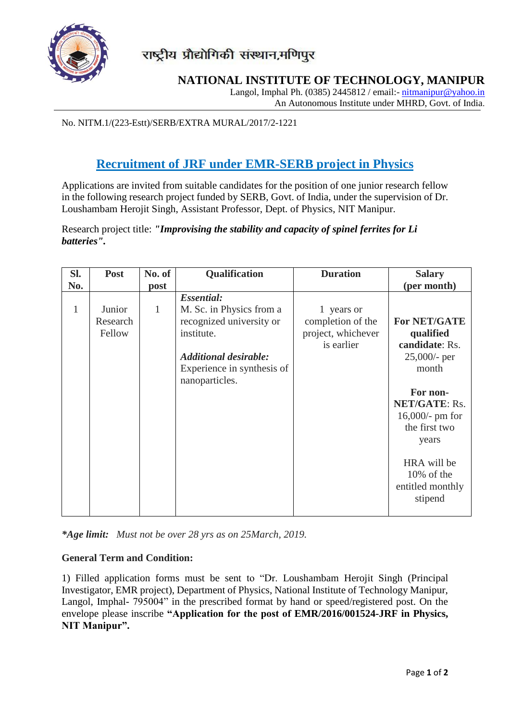

## **NATIONAL INSTITUTE OF TECHNOLOGY, MANIPUR**

Langol, Imphal Ph. (0385) 2445812 / email:- [nitmanipur@yahoo.in](mailto:nitmanipur@yahoo.in) An Autonomous Institute under MHRD, Govt. of India.

No. NITM.1/(223-Estt)/SERB/EXTRA MURAL/2017/2-1221

## **Recruitment of JRF under EMR-SERB project in Physics**

Applications are invited from suitable candidates for the position of one junior research fellow in the following research project funded by SERB, Govt. of India, under the supervision of Dr. Loushambam Herojit Singh, Assistant Professor, Dept. of Physics, NIT Manipur.

Research project title: *"Improvising the stability and capacity of spinel ferrites for Li batteries".*

| SI. | <b>Post</b>                  | No. of | Qualification                                                                                                                                                           | <b>Duration</b>                                                     | <b>Salary</b>                                                                                                                                                                                                                  |
|-----|------------------------------|--------|-------------------------------------------------------------------------------------------------------------------------------------------------------------------------|---------------------------------------------------------------------|--------------------------------------------------------------------------------------------------------------------------------------------------------------------------------------------------------------------------------|
| No. |                              | post   |                                                                                                                                                                         |                                                                     | (per month)                                                                                                                                                                                                                    |
| 1   | Junior<br>Research<br>Fellow | 1      | <b>Essential:</b><br>M. Sc. in Physics from a<br>recognized university or<br>institute.<br><b>Additional desirable:</b><br>Experience in synthesis of<br>nanoparticles. | 1 years or<br>completion of the<br>project, whichever<br>is earlier | <b>For NET/GATE</b><br>qualified<br>candidate: Rs.<br>25,000/- per<br>month<br>For non-<br><b>NET/GATE: Rs.</b><br>$16,000/$ - pm for<br>the first two<br>years<br>HRA will be<br>$10\%$ of the<br>entitled monthly<br>stipend |

*\*Age limit: Must not be over 28 yrs as on 25March, 2019.* 

## **General Term and Condition:**

1) Filled application forms must be sent to "Dr. Loushambam Herojit Singh (Principal Investigator, EMR project), Department of Physics, National Institute of Technology Manipur, Langol, Imphal- 795004" in the prescribed format by hand or speed/registered post. On the envelope please inscribe **"Application for the post of EMR/2016/001524-JRF in Physics, NIT Manipur".**